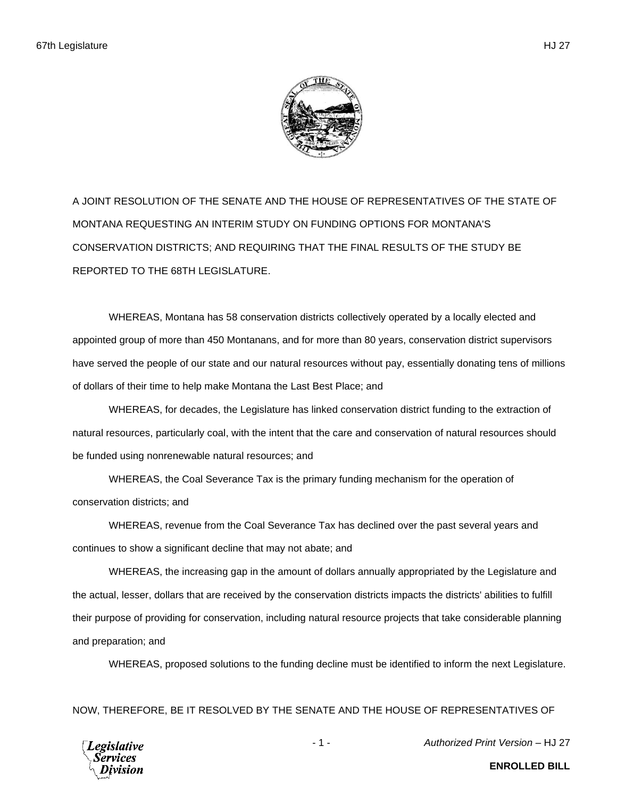A JOINT RESOLUTION OF THE SENATE AND THE HOUSE OF REPRESENTATIVES OF THE STATE OF MONTANA REQUESTING AN INTERIM STUDY ON FUNDING OPTIONS FOR MONTANA'S CONSERVATION DISTRICTS; AND REQUIRING THAT THE FINAL RESULTS OF THE STUDY BE REPORTED TO THE 68TH LEGISLATURE.

WHEREAS, Montana has 58 conservation districts collectively operated by a locally elected and appointed group of more than 450 Montanans, and for more than 80 years, conservation district supervisors have served the people of our state and our natural resources without pay, essentially donating tens of millions of dollars of their time to help make Montana the Last Best Place; and

WHEREAS, for decades, the Legislature has linked conservation district funding to the extraction of natural resources, particularly coal, with the intent that the care and conservation of natural resources should be funded using nonrenewable natural resources; and

WHEREAS, the Coal Severance Tax is the primary funding mechanism for the operation of conservation districts; and

WHEREAS, revenue from the Coal Severance Tax has declined over the past several years and continues to show a significant decline that may not abate; and

WHEREAS, the increasing gap in the amount of dollars annually appropriated by the Legislature and the actual, lesser, dollars that are received by the conservation districts impacts the districts' abilities to fulfill their purpose of providing for conservation, including natural resource projects that take considerable planning and preparation; and

WHEREAS, proposed solutions to the funding decline must be identified to inform the next Legislature.

NOW, THEREFORE, BE IT RESOLVED BY THE SENATE AND THE HOUSE OF REPRESENTATIVES OF



- 1 - *Authorized Print Version* – HJ 27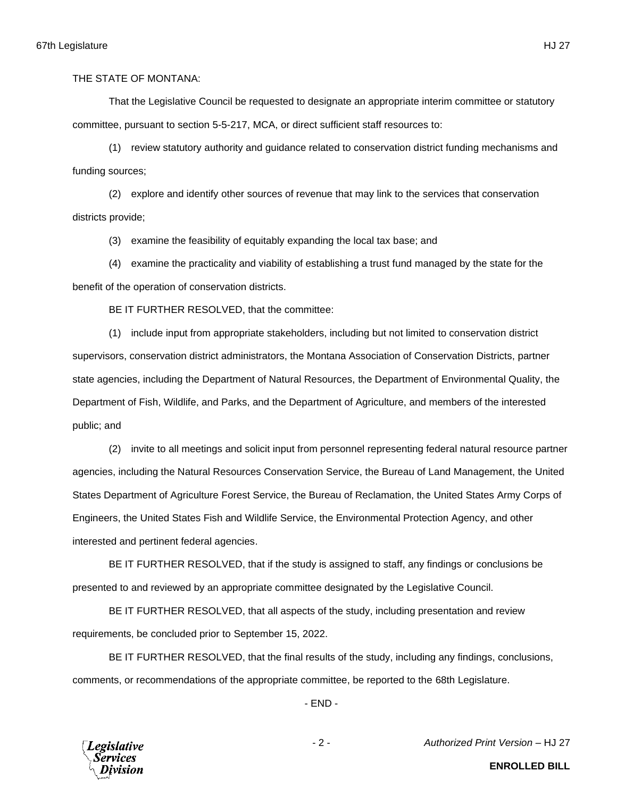That the Legislative Council be requested to designate an appropriate interim committee or statutory committee, pursuant to section 5-5-217, MCA, or direct sufficient staff resources to:

(1) review statutory authority and guidance related to conservation district funding mechanisms and funding sources;

(2) explore and identify other sources of revenue that may link to the services that conservation districts provide;

(3) examine the feasibility of equitably expanding the local tax base; and

(4) examine the practicality and viability of establishing a trust fund managed by the state for the benefit of the operation of conservation districts.

BE IT FURTHER RESOLVED, that the committee:

(1) include input from appropriate stakeholders, including but not limited to conservation district supervisors, conservation district administrators, the Montana Association of Conservation Districts, partner state agencies, including the Department of Natural Resources, the Department of Environmental Quality, the Department of Fish, Wildlife, and Parks, and the Department of Agriculture, and members of the interested public; and

(2) invite to all meetings and solicit input from personnel representing federal natural resource partner agencies, including the Natural Resources Conservation Service, the Bureau of Land Management, the United States Department of Agriculture Forest Service, the Bureau of Reclamation, the United States Army Corps of Engineers, the United States Fish and Wildlife Service, the Environmental Protection Agency, and other interested and pertinent federal agencies.

BE IT FURTHER RESOLVED, that if the study is assigned to staff, any findings or conclusions be presented to and reviewed by an appropriate committee designated by the Legislative Council.

BE IT FURTHER RESOLVED, that all aspects of the study, including presentation and review requirements, be concluded prior to September 15, 2022.

BE IT FURTHER RESOLVED, that the final results of the study, including any findings, conclusions, comments, or recommendations of the appropriate committee, be reported to the 68th Legislature.

- END -

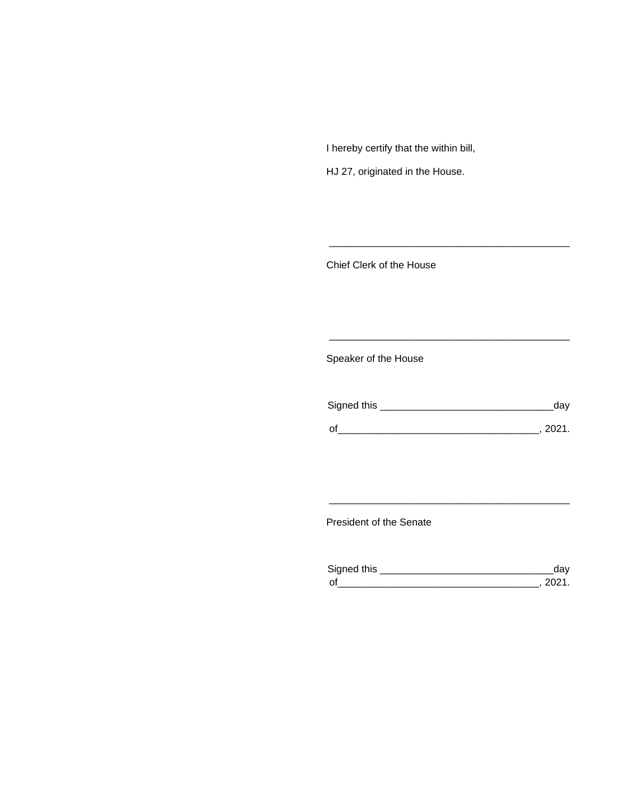I hereby certify that the within bill,

HJ 27, originated in the House.

Chief Clerk of the House

Speaker of the House

| Signed this | dav  |
|-------------|------|
| $\Omega$    | 2021 |

\_\_\_\_\_\_\_\_\_\_\_\_\_\_\_\_\_\_\_\_\_\_\_\_\_\_\_\_\_\_\_\_\_\_\_\_\_\_\_\_\_\_\_

\_\_\_\_\_\_\_\_\_\_\_\_\_\_\_\_\_\_\_\_\_\_\_\_\_\_\_\_\_\_\_\_\_\_\_\_\_\_\_\_\_\_\_

President of the Senate

| Signed this        |  |
|--------------------|--|
| $\mathsf{\Omega}'$ |  |

\_\_\_\_\_\_\_\_\_\_\_\_\_\_\_\_\_\_\_\_\_\_\_\_\_\_\_\_\_\_\_\_\_\_\_\_\_\_\_\_\_\_\_